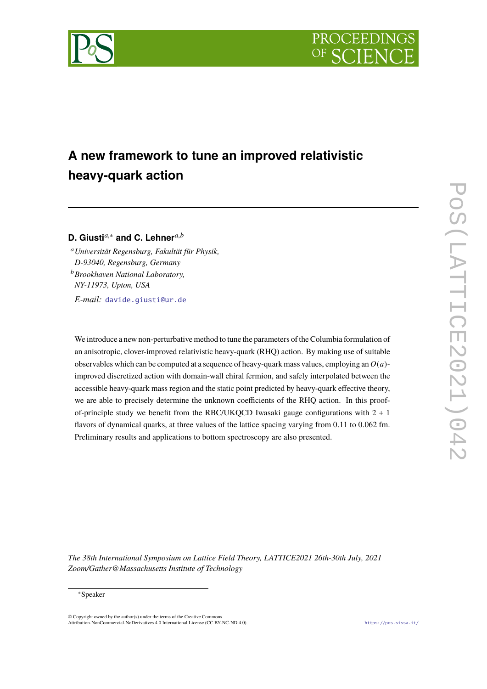



# **A new framework to tune an improved relativistic heavy-quark action**

# **D. Giusti***a*,<sup>∗</sup> **and C. Lehner***a*,*<sup>b</sup>*

<sup>a</sup>*Universität Regensburg, Fakultät für Physik, D-93040, Regensburg, Germany* <sup>b</sup>*Brookhaven National Laboratory, NY-11973, Upton, USA*

*E-mail:* [davide.giusti@ur.de](mailto:davide.giusti@ur.de)

We introduce a new non-perturbative method to tune the parameters of the Columbia formulation of an anisotropic, clover-improved relativistic heavy-quark (RHQ) action. By making use of suitable observables which can be computed at a sequence of heavy-quark mass values, employing an *O*(*a*) improved discretized action with domain-wall chiral fermion, and safely interpolated between the accessible heavy-quark mass region and the static point predicted by heavy-quark effective theory, we are able to precisely determine the unknown coefficients of the RHQ action. In this proofof-principle study we benefit from the RBC/UKQCD Iwasaki gauge configurations with  $2 + 1$ flavors of dynamical quarks, at three values of the lattice spacing varying from 0.11 to 0.062 fm. Preliminary results and applications to bottom spectroscopy are also presented.

*The 38th International Symposium on Lattice Field Theory, LATTICE2021 26th-30th July, 2021 Zoom/Gather@Massachusetts Institute of Technology*

#### <sup>∗</sup>Speaker

 $\odot$  Copyright owned by the author(s) under the terms of the Creative Common Attribution-NonCommercial-NoDerivatives 4.0 International License (CC BY-NC-ND 4.0). <https://pos.sissa.it/>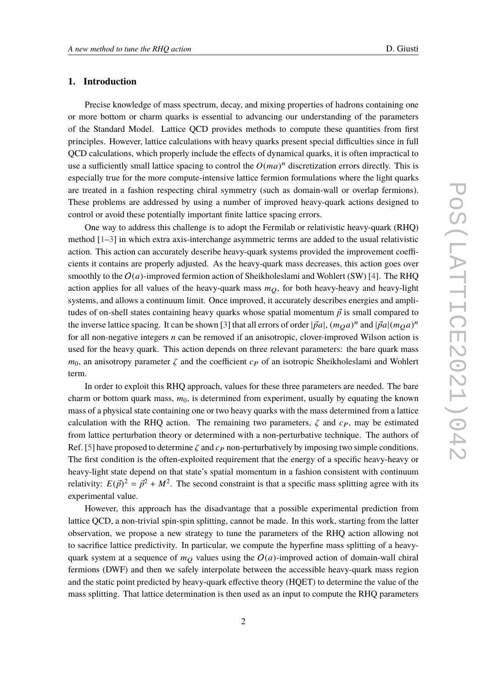## **1. Introduction**

Precise knowledge of mass spectrum, decay, and mixing properties of hadrons containing one or more bottom or charm quarks is essential to advancing our understanding of the parameters of the Standard Model. Lattice QCD provides methods to compute these quantities from first principles. However, lattice calculations with heavy quarks present special difficulties since in full QCD calculations, which properly include the effects of dynamical quarks, it is often impractical to use a sufficiently small lattice spacing to control the  $O(ma)^n$  discretization errors directly. This is especially true for the more compute-intensive lattice fermion formulations where the light quarks are treated in a fashion respecting chiral symmetry (such as domain-wall or overlap fermions). These problems are addressed by using a number of improved heavy-quark actions designed to control or avoid these potentially important finite lattice spacing errors.

One way to address this challenge is to adopt the Fermilab or relativistic heavy-quark (RHQ) method  $[1-3]$  $[1-3]$  in which extra axis-interchange asymmetric terms are added to the usual relativistic action. This action can accurately describe heavy-quark systems provided the improvement coefficients it contains are properly adjusted. As the heavy-quark mass decreases, this action goes over smoothly to the  $O(a)$ -improved fermion action of Sheikholeslami and Wohlert (SW) [\[4\]](#page-9-1). The RHQ action applies for all values of the heavy-quark mass  $m<sub>O</sub>$ , for both heavy-heavy and heavy-light systems, and allows a continuum limit. Once improved, it accurately describes energies and amplitudes of on-shell states containing heavy quarks whose spatial momentum  $\vec{p}$  is small compared to the inverse lattice spacing. It can be shown [\[3\]](#page-9-0) that all errors of order  $|\vec{p}a|, (m_Qa)^n$  and  $|\vec{p}a|(m_Qa)^n$ for all non-negative integers *n* can be removed if an anisotropic, clover-improved Wilson action is used for the heavy quark. This action depends on three relevant parameters: the bare quark mass  $m_0$ , an anisotropy parameter  $\zeta$  and the coefficient  $c_P$  of an isotropic Sheikholeslami and Wohlert term.

In order to exploit this RHQ approach, values for these three parameters are needed. The bare charm or bottom quark mass,  $m_0$ , is determined from experiment, usually by equating the known mass of a physical state containing one or two heavy quarks with the mass determined from a lattice calculation with the RHQ action. The remaining two parameters,  $\zeta$  and  $c_P$ , may be estimated from lattice perturbation theory or determined with a non-perturbative technique. The authors of Ref. [\[5\]](#page-9-2) have proposed to determine  $\zeta$  and  $c_P$  non-perturbatively by imposing two simple conditions. The first condition is the often-exploited requirement that the energy of a specific heavy-heavy or heavy-light state depend on that state's spatial momentum in a fashion consistent with continuum relativity:  $E(\vec{p})^2 = \vec{p}^2 + M^2$ . The second constraint is that a specific mass splitting agree with its experimental value.

However, this approach has the disadvantage that a possible experimental prediction from lattice QCD, a non-trivial spin-spin splitting, cannot be made. In this work, starting from the latter observation, we propose a new strategy to tune the parameters of the RHQ action allowing not to sacrifice lattice predictivity. In particular, we compute the hyperfine mass splitting of a heavyquark system at a sequence of  $m<sub>O</sub>$  values using the  $O(a)$ -improved action of domain-wall chiral fermions (DWF) and then we safely interpolate between the accessible heavy-quark mass region and the static point predicted by heavy-quark effective theory (HQET) to determine the value of the mass splitting. That lattice determination is then used as an input to compute the RHQ parameters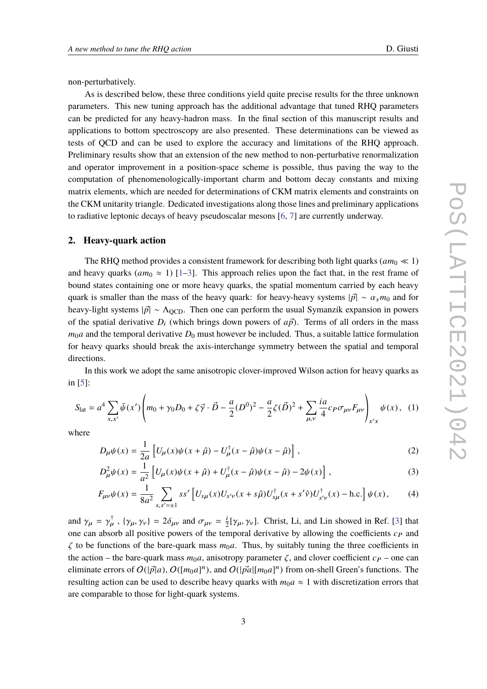non-perturbatively.

As is described below, these three conditions yield quite precise results for the three unknown parameters. This new tuning approach has the additional advantage that tuned RHQ parameters can be predicted for any heavy-hadron mass. In the final section of this manuscript results and applications to bottom spectroscopy are also presented. These determinations can be viewed as tests of QCD and can be used to explore the accuracy and limitations of the RHQ approach. Preliminary results show that an extension of the new method to non-perturbative renormalization and operator improvement in a position-space scheme is possible, thus paving the way to the computation of phenomenologically-important charm and bottom decay constants and mixing matrix elements, which are needed for determinations of CKM matrix elements and constraints on the CKM unitarity triangle. Dedicated investigations along those lines and preliminary applications to radiative leptonic decays of heavy pseudoscalar mesons [\[6,](#page-9-3) [7\]](#page-9-4) are currently underway.

#### **2. Heavy-quark action**

The RHQ method provides a consistent framework for describing both light quarks ( $am_0 \ll 1$ ) and heavy quarks  $(am_0 \approx 1)$  [\[1](#page-8-0)[–3\]](#page-9-0). This approach relies upon the fact that, in the rest frame of bound states containing one or more heavy quarks, the spatial momentum carried by each heavy quark is smaller than the mass of the heavy quark: for heavy-heavy systems  $|\vec{p}| \sim \alpha_s m_0$  and for heavy-light systems  $|\vec{p}| \sim \Lambda_{\text{QCD}}$ . Then one can perform the usual Symanzik expansion in powers of the spatial derivative  $D_i$  (which brings down powers of  $a\vec{p}$ ). Terms of all orders in the mass  $m_0a$  and the temporal derivative  $D_0$  must however be included. Thus, a suitable lattice formulation for heavy quarks should break the axis-interchange symmetry between the spatial and temporal directions.

In this work we adopt the same anisotropic clover-improved Wilson action for heavy quarks as in [\[5\]](#page-9-2):

$$
S_{\text{lat}} = a^4 \sum_{x,x'} \bar{\psi}(x') \left( m_0 + \gamma_0 D_0 + \zeta \vec{\gamma} \cdot \vec{D} - \frac{a}{2} (D^0)^2 - \frac{a}{2} \zeta (\vec{D})^2 + \sum_{\mu,\nu} \frac{ia}{4} c_P \sigma_{\mu\nu} F_{\mu\nu} \right)_{x'x} \psi(x), \tag{1}
$$

where

<span id="page-2-0"></span>
$$
D_{\mu}\psi(x) = \frac{1}{2a} \left[ U_{\mu}(x)\psi(x+\hat{\mu}) - U_{\mu}^{\dagger}(x-\hat{\mu})\psi(x-\hat{\mu}) \right],
$$
 (2)

$$
D_{\mu}^{2}\psi(x) = \frac{1}{a^{2}} \left[ U_{\mu}(x)\psi(x+\hat{\mu}) + U_{\mu}^{\dagger}(x-\hat{\mu})\psi(x-\hat{\mu}) - 2\psi(x) \right],
$$
\n(3)

$$
F_{\mu\nu}\psi(x) = \frac{1}{8a^2} \sum_{s,s'= \pm 1} s s' \left[ U_{s\mu}(x) U_{s'\nu}(x+s\hat{\mu}) U_{s\mu}^{\dagger}(x+s'\hat{\nu}) U_{s'\nu}^{\dagger}(x) - \text{h.c.} \right] \psi(x), \tag{4}
$$

and  $\gamma_{\mu} = \gamma_{\mu}^{\dagger}$ ,  $\{\gamma_{\mu}, \gamma_{\nu}\} = 2\delta_{\mu\nu}$  and  $\sigma_{\mu\nu} = \frac{i}{2}$  $\frac{1}{2}[\gamma_{\mu}, \gamma_{\nu}]$ . Christ, Li, and Lin showed in Ref. [\[3\]](#page-9-0) that movement degivening by allowing the coefficients a cond one can absorb all positive powers of the temporal derivative by allowing the coefficients  $c_P$  and  $\zeta$  to be functions of the bare-quark mass  $m_0a$ . Thus, by suitably tuning the three coefficients in the action – the bare-quark mass  $m_0a$ , anisotropy parameter  $\zeta$ , and clover coefficient  $c_P$  – one can eliminate errors of  $O(|\vec{p}|a)$ ,  $O([m_0a]^n)$ , and  $O(|\vec{p}a|[m_0a]^n)$  from on-shell Green's functions. The resulting action can be used to describe heavy quarks with  $m_0a \approx 1$  with discretization errors that are comparable to those for light-quark systems.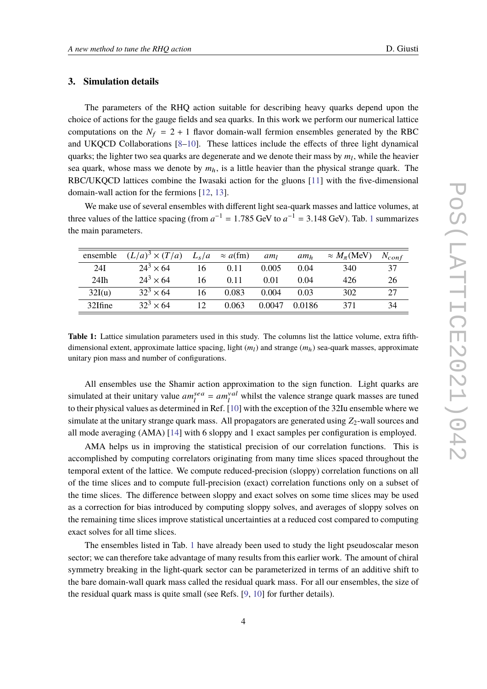## **3. Simulation details**

The parameters of the RHQ action suitable for describing heavy quarks depend upon the choice of actions for the gauge fields and sea quarks. In this work we perform our numerical lattice computations on the  $N_f = 2 + 1$  flavor domain-wall fermion ensembles generated by the RBC and UKQCD Collaborations [\[8](#page-9-5)[–10\]](#page-9-6). These lattices include the effects of three light dynamical quarks; the lighter two sea quarks are degenerate and we denote their mass by  $m_l$ , while the heavier sea quark, whose mass we denote by  $m_h$ , is a little heavier than the physical strange quark. The RBC/UKQCD lattices combine the Iwasaki action for the gluons [\[11\]](#page-10-0) with the five-dimensional domain-wall action for the fermions [\[12,](#page-10-1) [13\]](#page-10-2).

We make use of several ensembles with different light sea-quark masses and lattice volumes, at three values of the lattice spacing (from  $a^{-1} = 1.785$  $a^{-1} = 1.785$  $a^{-1} = 1.785$  GeV to  $a^{-1} = 3.148$  GeV). Tab. 1 summarizes the main nonemators the main parameters.

<span id="page-3-0"></span>

| ensemble | $(L/a)^3 \times (T/a)$ | $L_s/a$ | $\approx a$ (fm) | am <sub>l</sub> | am <sub>h</sub> | $\approx M_{\pi}$ (MeV) | $N_{conf}$ |
|----------|------------------------|---------|------------------|-----------------|-----------------|-------------------------|------------|
| 24I      | $24^3 \times 64$       | 16      | 0.11             | 0.005           | 0.04            | 340                     | 37         |
| $24$ Ih  | $24^3 \times 64$       | 16      | 0.11             | 0.01            | 0.04            | 426                     | 26         |
| 32I(u)   | $32^3 \times 64$       | 16      | 0.083            | 0.004           | 0.03            | 302                     | 27         |
| 32Ifine  | $32^3 \times 64$       | 12      | 0.063            | 0.0047          | 0.0186          | 371                     | 34         |

**Table 1:** Lattice simulation parameters used in this study. The columns list the lattice volume, extra fifthdimensional extent, approximate lattice spacing, light  $(m_l)$  and strange  $(m_h)$  sea-quark masses, approximate unitary pion mass and number of configurations.

All ensembles use the Shamir action approximation to the sign function. Light quarks are simulated at their unitary value  $am_l^{sea} = am_l^{val}$  whilst the valence strange quark masses are tuned to their physical values as determined in Ref. [\[10\]](#page-9-6) with the exception of the 32Iu ensemble where we simulate at the unitary strange quark mass. All propagators are generated using  $Z_2$ -wall sources and all mode averaging (AMA) [\[14\]](#page-10-3) with 6 sloppy and 1 exact samples per configuration is employed.

AMA helps us in improving the statistical precision of our correlation functions. This is accomplished by computing correlators originating from many time slices spaced throughout the temporal extent of the lattice. We compute reduced-precision (sloppy) correlation functions on all of the time slices and to compute full-precision (exact) correlation functions only on a subset of the time slices. The difference between sloppy and exact solves on some time slices may be used as a correction for bias introduced by computing sloppy solves, and averages of sloppy solves on the remaining time slices improve statistical uncertainties at a reduced cost compared to computing exact solves for all time slices.

The ensembles listed in Tab. [1](#page-3-0) have already been used to study the light pseudoscalar meson sector; we can therefore take advantage of many results from this earlier work. The amount of chiral symmetry breaking in the light-quark sector can be parameterized in terms of an additive shift to the bare domain-wall quark mass called the residual quark mass. For all our ensembles, the size of the residual quark mass is quite small (see Refs. [\[9,](#page-9-7) [10\]](#page-9-6) for further details).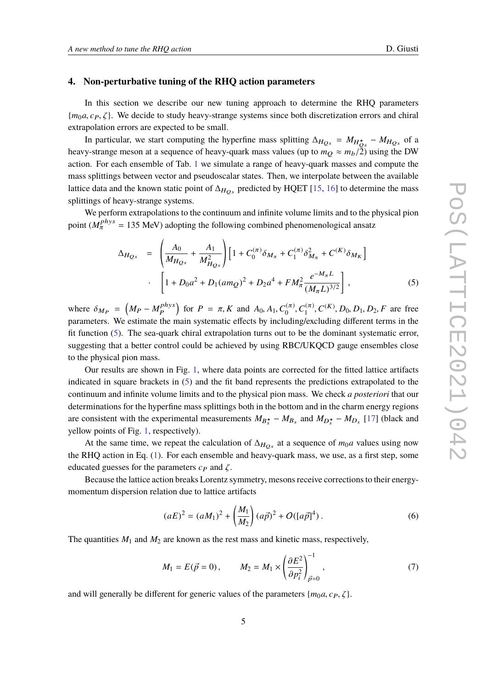#### **4. Non-perturbative tuning of the RHQ action parameters**

In this section we describe our new tuning approach to determine the RHQ parameters  ${m_0 a, c_P, \zeta}$ . We decide to study heavy-strange systems since both discretization errors and chiral extrapolation errors are expected to be small.

In particular, we start computing the hyperfine mass splitting  $\Delta_{H_{Q_s}} = M_{H_{Q_s}} - M_{H_{Q_s}}$  of a heavy-strange meson at a sequence of heavy-quark mass values (up to  $m_Q \approx m_b/2$ ) using the DW action. For each ensemble of Tab. [1](#page-3-0) we simulate a range of heavy-quark masses and compute the mass splittings between vector and pseudoscalar states. Then, we interpolate between the available lattice data and the known static point of  $\Delta_{H_{OS}}$  predicted by HQET [\[15,](#page-10-4) [16\]](#page-10-5) to determine the mass splittings of heavy-strange systems.

We perform extrapolations to the continuum and infinite volume limits and to the physical pion point ( $M_{\pi}^{phys}$  = 135 MeV) adopting the following combined phenomenological ansatz

<span id="page-4-0"></span>
$$
\Delta_{H_{Qs}} = \left(\frac{A_0}{M_{H_{Qs}}} + \frac{A_1}{M_{H_{Qs}}^2}\right) \left[1 + C_0^{(\pi)} \delta_{M_{\pi}} + C_1^{(\pi)} \delta_{M_{\pi}}^2 + C^{(K)} \delta_{M_K}\right]
$$
  
. 
$$
\left[1 + D_0 a^2 + D_1 (am_Q)^2 + D_2 a^4 + FM_{\pi}^2 \frac{e^{-M_{\pi}L}}{(M_{\pi}L)^{3/2}}\right],
$$
 (5)

where  $\delta_{MP} = (M_P - M_P^{phys})$  $\binom{phys}{P}$  for  $P = \pi, K$  and  $A_0, A_1, C_0^{(\pi)}, C_1^{(\pi)}, C^{(K)}, D_0, D_1, D_2, F$  are free parameters. We estimate the main systematic effects by including/excluding different terms in the fit function [\(5\)](#page-4-0). The sea-quark chiral extrapolation turns out to be the dominant systematic error, suggesting that a better control could be achieved by using RBC/UKQCD gauge ensembles close to the physical pion mass.

Our results are shown in Fig. [1,](#page-5-0) where data points are corrected for the fitted lattice artifacts indicated in square brackets in [\(5\)](#page-4-0) and the fit band represents the predictions extrapolated to the continuum and infinite volume limits and to the physical pion mass. We check *a posteriori* that our determinations for the hyperfine mass splittings both in the bottom and in the charm energy regions are consistent with the experimental measurements  $M_{B_s^*} - M_{B_s}$  and  $M_{D_s^*} - M_{D_s}$  [\[17\]](#page-10-6) (black and yellow points of Fig. [1,](#page-5-0) respectively).

At the same time, we repeat the calculation of  $\Delta_{H_{Os}}$  at a sequence of  $m_0a$  values using now the RHQ action in Eq. [\(1\)](#page-2-0). For each ensemble and heavy-quark mass, we use, as a first step, some educated guesses for the parameters  $c_P$  and  $\zeta$ .

Because the lattice action breaks Lorentz symmetry, mesons receive corrections to their energymomentum dispersion relation due to lattice artifacts

$$
(aE)^{2} = (aM_{1})^{2} + \left(\frac{M_{1}}{M_{2}}\right)(a\vec{p})^{2} + O([a\vec{p}]^{4}).
$$
\n(6)

The quantities  $M_1$  and  $M_2$  are known as the rest mass and kinetic mass, respectively,

$$
M_1 = E(\vec{p} = 0), \qquad M_2 = M_1 \times \left(\frac{\partial E^2}{\partial p_i^2}\right)_{\vec{p} = 0}^{-1}, \tag{7}
$$

and will generally be different for generic values of the parameters  ${m_0 a, c_P, \zeta}$ .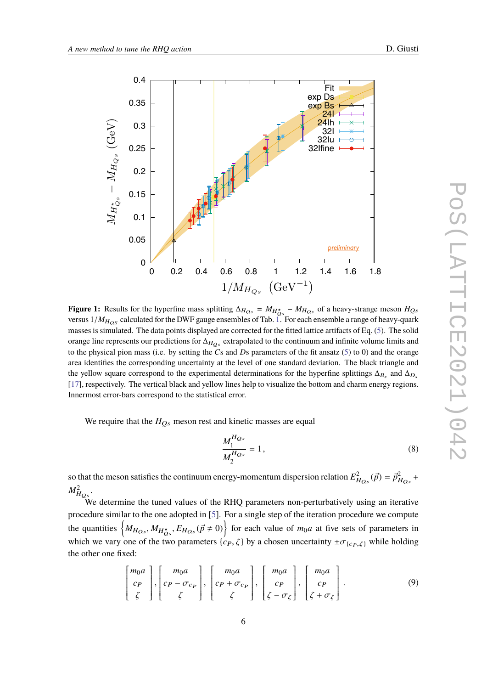<span id="page-5-0"></span>

**Figure 1:** Results for the hyperfine mass splitting  $\Delta_{H_{Qs}} = M_{H_{Qs}^{\star}} - M_{H_{Qs}}$  of a heavy-strange meson  $H_{Qs}$ versus  $1/M_{HOS}$  calculated for the DWF gauge ensembles of Tab. [1.](#page-3-0) For each ensemble a range of heavy-quark masses is simulated. The data points displayed are corrected for the fitted lattice artifacts of Eq. [\(5\)](#page-4-0). The solid orange line represents our predictions for  $\Delta_{H_{Os}}$  extrapolated to the continuum and infinite volume limits and to the physical pion mass (i.e. by setting the *C*s and *D*s parameters of the fit ansatz [\(5\)](#page-4-0) to 0) and the orange area identifies the corresponding uncertainty at the level of one standard deviation. The black triangle and the yellow square correspond to the experimental determinations for the hyperfine splittings  $\Delta_{B_s}$  and  $\Delta_{D_s}$ [\[17\]](#page-10-6), respectively. The vertical black and yellow lines help to visualize the bottom and charm energy regions. Innermost error-bars correspond to the statistical error.

We require that the  $H_{Os}$  meson rest and kinetic masses are equal

$$
\frac{M_1^{H_{Qs}}}{M_2^{H_{Qs}}} = 1,\t\t(8)
$$

so that the meson satisfies the continuum energy-momentum dispersion relation  $E^2_{H_{QS}}(\vec{p}) = \vec{p}^2_{H_{QS}} +$  $M^2_{H_{\mathcal{Q}s}}.$ 

We determine the tuned values of the RHQ parameters non-perturbatively using an iterative procedure similar to the one adopted in [\[5\]](#page-9-2). For a single step of the iteration procedure we compute the quantities  $\left\{ M_{H_{QS}}, M_{H_{QS}^*}, E_{H_{QS}}(\vec{p} \neq 0) \right\}$  for each value of  $m_0a$  at five sets of parameters in which we vary one of the two parameters  $\{c_P, \zeta\}$  by a chosen uncertainty  $\pm \sigma_{\{c_P, \zeta\}}$  while holding the other one fixed:

<span id="page-5-1"></span>
$$
\begin{bmatrix} m_0 a \\ c_P \\ \zeta \end{bmatrix}, \begin{bmatrix} m_0 a \\ c_P - \sigma_{c_P} \\ \zeta \end{bmatrix}, \begin{bmatrix} m_0 a \\ c_P + \sigma_{c_P} \\ \zeta \end{bmatrix}, \begin{bmatrix} m_0 a \\ c_P \\ \zeta - \sigma_{\zeta} \end{bmatrix}, \begin{bmatrix} m_0 a \\ c_P \\ \zeta + \sigma_{\zeta} \end{bmatrix}.
$$
 (9)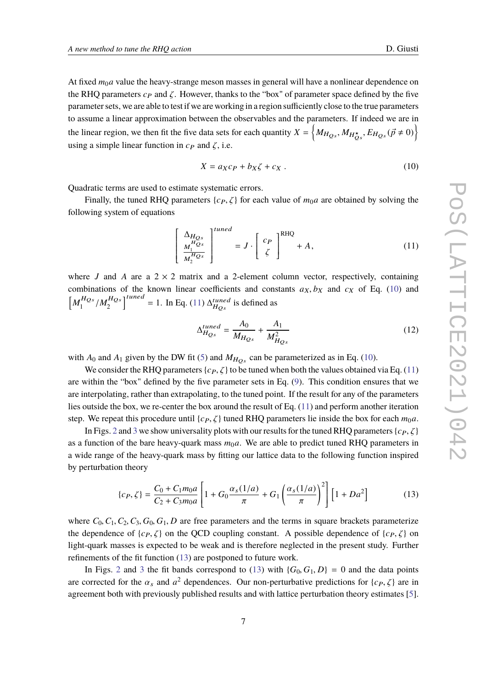At fixed  $m_0a$  value the heavy-strange meson masses in general will have a nonlinear dependence on the RHQ parameters  $c_P$  and  $\zeta$ . However, thanks to the "box" of parameter space defined by the five parameter sets, we are able to test if we are working in a region sufficiently close to the true parameters to assume a linear approximation between the observables and the parameters. If indeed we are in the linear region, we then fit the five data sets for each quantity  $X = \left\{ M_{H_{Qs}}, M_{H_{Qs}^{\star}}, E_{H_{Qs}} (\vec{p} \neq 0) \right\}$ using a simple linear function in  $c_P$  and  $\zeta$ , i.e.

<span id="page-6-0"></span>
$$
X = a_X c_P + b_X \zeta + c_X \tag{10}
$$

Quadratic terms are used to estimate systematic errors.

Finally, the tuned RHQ parameters  $\{c_P, \zeta\}$  for each value of  $m_0a$  are obtained by solving the following system of equations

<span id="page-6-1"></span>
$$
\left[\begin{array}{c}\n\Delta_{H_{Qs}} \\
M_1^{H_{Qs}} \\
M_2^{H_{Qs}}\n\end{array}\right]^{tuned} = J \cdot \left[\begin{array}{c} c_P \\
\zeta\n\end{array}\right]^{RHQ} + A,
$$
\n(11)

where *J* and *A* are a  $2 \times 2$  matrix and a 2-element column vector, respectively, containing combinations of the known linear coefficients and constants  $a_X, b_X$  and  $c_X$  of Eq. [\(10\)](#page-6-0) and f  $M_1^{H_{QS}}$  $_{1}^{HQs}/M_{2}^{HQs}$ 2 n uie<br><sub>1</sub>tuned = 1. In Eq. [\(11\)](#page-6-1)  $\Delta_{H_{QS}}^{tuned}$  is defined as

$$
\Delta_{H_{Qs}}^{tuned} = \frac{A_0}{M_{H_{Qs}}} + \frac{A_1}{M_{H_{Qs}}^2}
$$
\n(12)

with  $A_0$  and  $A_1$  given by the DW fit [\(5\)](#page-4-0) and  $M_{H_{Os}}$  can be parameterized as in Eq. [\(10\)](#page-6-0).

We consider the RHQ parameters  $\{c_P, \zeta\}$  to be tuned when both the values obtained via Eq. [\(11\)](#page-6-1) are within the "box" defined by the five parameter sets in Eq. [\(9\)](#page-5-1). This condition ensures that we are interpolating, rather than extrapolating, to the tuned point. If the result for any of the parameters lies outside the box, we re-center the box around the result of Eq. [\(11\)](#page-6-1) and perform another iteration step. We repeat this procedure until  $\{c_P, \zeta\}$  tuned RHQ parameters lie inside the box for each  $m_0a$ .

In Figs. [2](#page-7-0) and [3](#page-7-1) we show universality plots with our results for the tuned RHQ parameters  $\{c_P, \zeta\}$ as a function of the bare heavy-quark mass  $m<sub>0</sub>a$ . We are able to predict tuned RHQ parameters in a wide range of the heavy-quark mass by fitting our lattice data to the following function inspired by perturbation theory

<span id="page-6-2"></span>
$$
\{c_P, \zeta\} = \frac{C_0 + C_1 m_0 a}{C_2 + C_3 m_0 a} \left[ 1 + G_0 \frac{\alpha_s (1/a)}{\pi} + G_1 \left( \frac{\alpha_s (1/a)}{\pi} \right)^2 \right] \left[ 1 + D a^2 \right] \tag{13}
$$

where  $C_0$ ,  $C_1$ ,  $C_2$ ,  $C_3$ ,  $G_0$ ,  $G_1$ ,  $D$  are free parameters and the terms in square brackets parameterize the dependence of  $\{c_P, \zeta\}$  on the QCD coupling constant. A possible dependence of  $\{c_P, \zeta\}$  on light-quark masses is expected to be weak and is therefore neglected in the present study. Further refinements of the fit function [\(13\)](#page-6-2) are postponed to future work.

In Figs. [2](#page-7-0) and [3](#page-7-1) the fit bands correspond to [\(13\)](#page-6-2) with  ${G_0, G_1, D} = 0$  and the data points are corrected for the  $\alpha_s$  and  $a^2$  dependences. Our non-perturbative predictions for  $\{c_P, \zeta\}$  are in agreement both with previously published results and with lattice perturbation theory estimates [\[5\]](#page-9-2).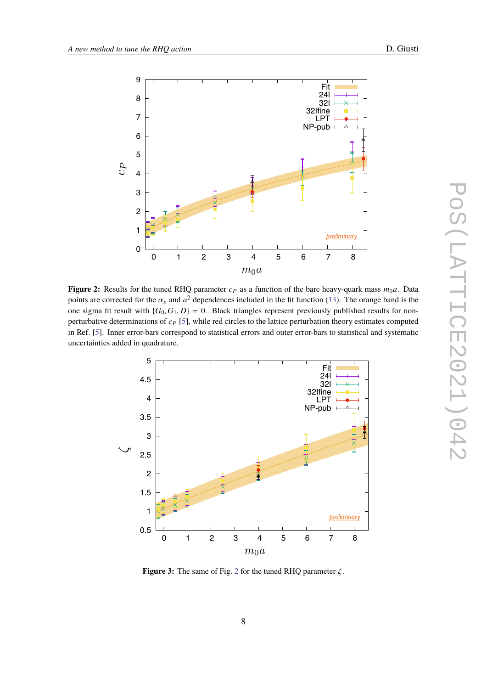<span id="page-7-0"></span>

**Figure 2:** Results for the tuned RHQ parameter  $c_P$  as a function of the bare heavy-quark mass  $m_0a$ . Data points are corrected for the  $\alpha_s$  and  $a^2$  dependences included in the fit function [\(13\)](#page-6-2). The orange band is the one sigma fit result with  ${G_0, G_1, D} = 0$ . Black triangles represent previously published results for nonperturbative determinations of  $c_P$  [\[5\]](#page-9-2), while red circles to the lattice perturbation theory estimates computed in Ref. [\[5\]](#page-9-2). Inner error-bars correspond to statistical errors and outer error-bars to statistical and systematic uncertainties added in quadrature.

<span id="page-7-1"></span>

**Figure 3:** The same of Fig. [2](#page-7-0) for the tuned RHQ parameter ζ.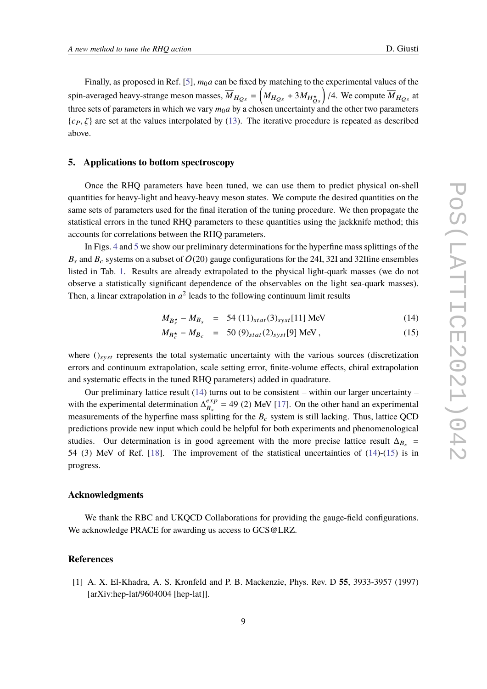Finally, as proposed in Ref. [\[5\]](#page-9-2),  $m_0a$  can be fixed by matching to the experimental values of the spin-averaged heavy-strange meson masses,  $\overline{M}_{H_{Qs}} = \left(M_{H_{Qs}} + 3M_{H_{Qs}^*}\right)/4$ . We compute  $\overline{M}_{H_{Qs}}$  at three sets of parameters in which we vary  $m_0a$  by a chosen uncertainty and the other two parameters  $\{c_P, \zeta\}$  are set at the values interpolated by [\(13\)](#page-6-2). The iterative procedure is repeated as described above.

## **5. Applications to bottom spectroscopy**

Once the RHQ parameters have been tuned, we can use them to predict physical on-shell quantities for heavy-light and heavy-heavy meson states. We compute the desired quantities on the same sets of parameters used for the final iteration of the tuning procedure. We then propagate the statistical errors in the tuned RHQ parameters to these quantities using the jackknife method; this accounts for correlations between the RHQ parameters.

In Figs. [4](#page-9-8) and [5](#page-10-7) we show our preliminary determinations for the hyperfine mass splittings of the  $B_s$  and  $B_c$  systems on a subset of  $O(20)$  gauge configurations for the 24I, 32I and 32Ifine ensembles listed in Tab. [1.](#page-3-0) Results are already extrapolated to the physical light-quark masses (we do not observe a statistically significant dependence of the observables on the light sea-quark masses). Then, a linear extrapolation in  $a^2$  leads to the following continuum limit results

<span id="page-8-1"></span>
$$
M_{B_s^{\star}} - M_{B_s} = 54 (11)_{stat}(3)_{syst}[11] \text{ MeV}
$$
 (14)

$$
M_{B_c^{\star}} - M_{B_c} = 50 (9)_{stat} (2)_{syst} [9] \text{ MeV}, \qquad (15)
$$

where  $()_{syst}$  represents the total systematic uncertainty with the various sources (discretization errors and continuum extrapolation, scale setting error, finite-volume effects, chiral extrapolation and systematic effects in the tuned RHQ parameters) added in quadrature.

Our preliminary lattice result  $(14)$  turns out to be consistent – within our larger uncertainty – with the experimental determination  $\Delta_{R_2}^{exp}$  $\frac{\partial^2 E}{\partial s^2}$  = 49 (2) MeV [\[17\]](#page-10-6). On the other hand an experimental measurements of the hyperfine mass splitting for the  $B<sub>c</sub>$  system is still lacking. Thus, lattice QCD predictions provide new input which could be helpful for both experiments and phenomenological studies. Our determination is in good agreement with the more precise lattice result  $\Delta_{B_s}$  = 54 (3) MeV of Ref. [\[18\]](#page-10-8). The improvement of the statistical uncertainties of [\(14\)](#page-8-1)-[\(15\)](#page-8-1) is in progress.

#### **Acknowledgments**

We thank the RBC and UKQCD Collaborations for providing the gauge-field configurations. We acknowledge PRACE for awarding us access to GCS@LRZ.

### **References**

<span id="page-8-0"></span>[1] A. X. El-Khadra, A. S. Kronfeld and P. B. Mackenzie, Phys. Rev. D **55**, 3933-3957 (1997) [arXiv:hep-lat/9604004 [hep-lat]].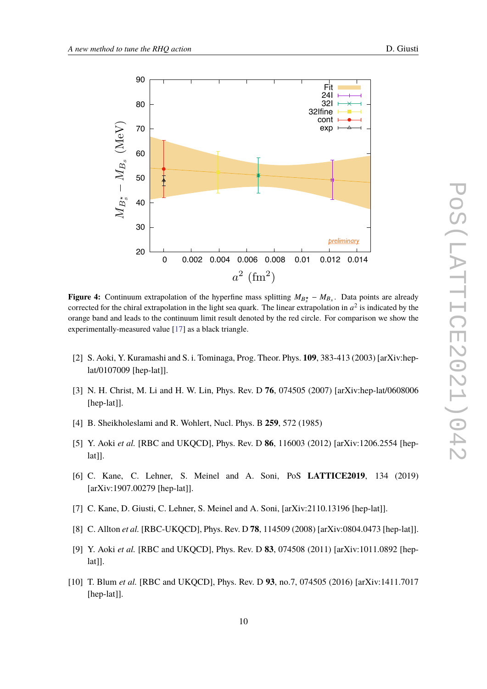<span id="page-9-8"></span>

**Figure 4:** Continuum extrapolation of the hyperfine mass splitting  $M_{B_s^*} - M_{B_s}$ . Data points are already corrected for the chiral extrapolation in the light sea quark. The linear extrapolation in  $a^2$  is indicated by the orange band and leads to the continuum limit result denoted by the red circle. For comparison we show the experimentally-measured value [\[17\]](#page-10-6) as a black triangle.

- [2] S. Aoki, Y. Kuramashi and S. i. Tominaga, Prog. Theor. Phys. **109**, 383-413 (2003) [arXiv:heplat/0107009 [hep-lat]].
- <span id="page-9-0"></span>[3] N. H. Christ, M. Li and H. W. Lin, Phys. Rev. D **76**, 074505 (2007) [arXiv:hep-lat/0608006 [hep-lat]].
- <span id="page-9-1"></span>[4] B. Sheikholeslami and R. Wohlert, Nucl. Phys. B **259**, 572 (1985)
- <span id="page-9-2"></span>[5] Y. Aoki *et al.* [RBC and UKQCD], Phys. Rev. D **86**, 116003 (2012) [arXiv:1206.2554 [heplat]].
- <span id="page-9-3"></span>[6] C. Kane, C. Lehner, S. Meinel and A. Soni, PoS **LATTICE2019**, 134 (2019) [arXiv:1907.00279 [hep-lat]].
- <span id="page-9-4"></span>[7] C. Kane, D. Giusti, C. Lehner, S. Meinel and A. Soni, [arXiv:2110.13196 [hep-lat]].
- <span id="page-9-5"></span>[8] C. Allton *et al.* [RBC-UKQCD], Phys. Rev. D **78**, 114509 (2008) [arXiv:0804.0473 [hep-lat]].
- <span id="page-9-7"></span>[9] Y. Aoki *et al.* [RBC and UKQCD], Phys. Rev. D **83**, 074508 (2011) [arXiv:1011.0892 [hep $lat$ ].
- <span id="page-9-6"></span>[10] T. Blum *et al.* [RBC and UKQCD], Phys. Rev. D **93**, no.7, 074505 (2016) [arXiv:1411.7017 [hep-lat]].